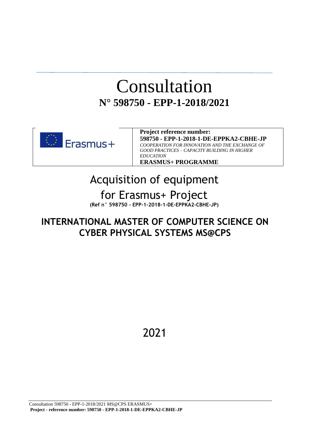### Consultation **N° 598750 - EPP-1-2018/2021**



**Project reference number: 598750 - EPP-1-2018-1-DE-EPPKA2-CBHE-JP** *COOPERATION FOR INNOVATION AND THE EXCHANGE OF GOOD PRACTICES – CAPACITY BUILDING IN HIGHER EDUCATION* **ERASMUS+ PROGRAMME**

### Acquisition of equipment for Erasmus+ Project **(Ref n° 598750 - EPP-1-2018-1-DE-EPPKA2-CBHE-JP)**

### **INTERNATIONAL MASTER OF COMPUTER SCIENCE ON CYBER PHYSICAL SYSTEMS MS@CPS**

2021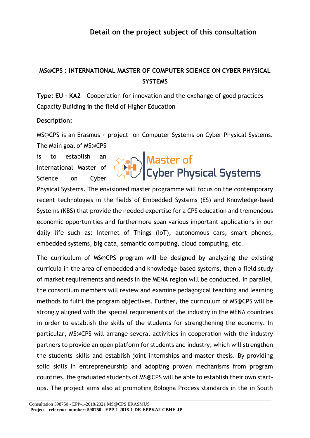### **Detail on the project subject of this consultation**

### **MS@CPS : INTERNATIONAL MASTER OF COMPUTER SCIENCE ON CYBER PHYSICAL SYSTEMS**

**Type: EU - KA2** – Cooperation for innovation and the exchange of good practices – Capacity Building in the field of Higher Education

#### **Description:**

MS@CPS is an Erasmus + project on Computer Systems on Cyber Physical Systems. The Main goal of MS@CPS

is to establish an International Master of Science on Cyber

## Master of<br>Cyber Physical Systems

Physical Systems. The envisioned master programme will focus on the contemporary recent technologies in the fields of Embedded Systems (ES) and Knowledge-baed Systems (KBS) that provide the needed expertise for a CPS education and tremendous economic opportunities and furthermore span various important applications in our daily life such as: Internet of Things (IoT), autonomous cars, smart phones, embedded systems, big data, semantic computing, cloud computing, etc.

The curriculum of MS@CPS program will be designed by analyzing the existing curricula in the area of embedded and knowledge-based systems, then a field study of market requirements and needs in the MENA region will be conducted. In parallel, the consortium members will review and examine pedagogical teaching and learning methods to fulfil the program objectives. Further, the curriculum of MS@CPS will be strongly aligned with the special requirements of the industry in the MENA countries in order to establish the skills of the students for strengthening the economy. In particular, MS@CPS will arrange several activities in cooperation with the industry partners to provide an open platform for students and industry, which will strengthen the students' skills and establish joint internships and master thesis. By providing solid skills in entrepreneurship and adopting proven mechanisms from program countries, the graduated students of MS@CPS will be able to establish their own startups. The project aims also at promoting Bologna Process standards in the in South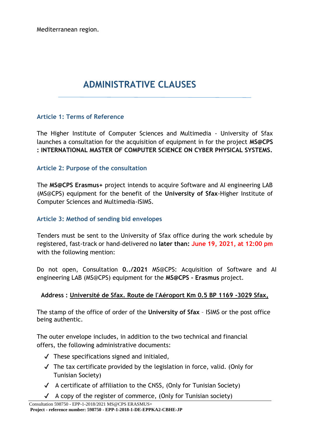Mediterranean region.

### **ADMINISTRATIVE CLAUSES**

### **Article 1: Terms of Reference**

The Higher Institute of Computer Sciences and Multimedia - University of Sfax launches a consultation for the acquisition of equipment in for the project **MS@CPS : INTERNATIONAL MASTER OF COMPUTER SCIENCE ON CYBER PHYSICAL SYSTEMS.**

### **Article 2: Purpose of the consultation**

The **MS@CPS Erasmus+** project intends to acquire Software and AI engineering LAB (MS@CPS) equipment for the benefit of the **University of Sfax**-Higher Institute of Computer Sciences and Multimedia-ISIMS.

### **Article 3: Method of sending bid envelopes**

Tenders must be sent to the University of Sfax office during the work schedule by registered, fast-track or hand-delivered no **later than: June 19, 2021, at 12:00 pm**  with the following mention:

Do not open, Consultation **0../2021** MS@CPS: Acquisition of Software and AI engineering LAB (MS@CPS) equipment for the **MS@CPS - Erasmus** project.

### **Address : Université de Sfax. Route de l'Aéroport Km 0.5 BP 1169 -3029 Sfax,**

The stamp of the office of order of the **University of Sfax** – ISIMS or the post office being authentic.

The outer envelope includes, in addition to the two technical and financial offers, the following administrative documents:

- $\checkmark$  These specifications signed and initialed,
- $\sqrt{\phantom{a}}$  The tax certificate provided by the legislation in force, valid. (Only for Tunisian Society)
- $\checkmark$  A certificate of affiliation to the CNSS, (Only for Tunisian Society)
- $\checkmark$  A copy of the register of commerce, (Only for Tunisian society)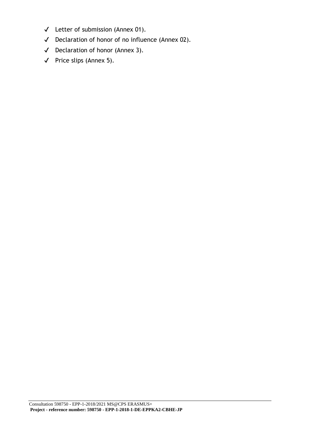- ✔ Letter of submission (Annex 01).
- ✔ Declaration of honor of no influence (Annex 02).
- ✔ Declaration of honor (Annex 3).
- ✔ Price slips (Annex 5).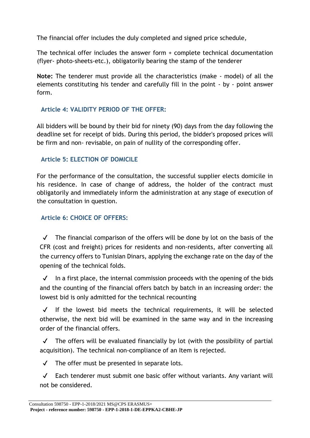The financial offer includes the duly completed and signed price schedule,

The technical offer includes the answer form + complete technical documentation (flyer‐ photo‐sheets‐etc.), obligatorily bearing the stamp of the tenderer

**Note:** The tenderer must provide all the characteristics (make - model) of all the elements constituting his tender and carefully fill in the point - by - point answer form.

### **Article 4: VALIDITY PERIOD OF THE OFFER:**

All bidders will be bound by their bid for ninety (90) days from the day following the deadline set for receipt of bids. During this period, the bidder's proposed prices will be firm and non- revisable, on pain of nullity of the corresponding offer.

### **Article 5: ELECTION OF DOMICILE**

For the performance of the consultation, the successful supplier elects domicile in his residence. In case of change of address, the holder of the contract must obligatorily and immediately inform the administration at any stage of execution of the consultation in question.

### **Article 6: CHOICE OF OFFERS:**

 $\checkmark$  The financial comparison of the offers will be done by lot on the basis of the CFR (cost and freight) prices for residents and non‐residents, after converting all the currency offers to Tunisian Dinars, applying the exchange rate on the day of the opening of the technical folds.

 $\checkmark$  In a first place, the internal commission proceeds with the opening of the bids and the counting of the financial offers batch by batch in an increasing order: the lowest bid is only admitted for the technical recounting

✔ If the lowest bid meets the technical requirements, it will be selected otherwise, the next bid will be examined in the same way and in the increasing order of the financial offers.

 $\sqrt{\phantom{a}}$  The offers will be evaluated financially by lot (with the possibility of partial acquisition). The technical non‐compliance of an Item is rejected.

 $\sqrt{ }$  The offer must be presented in separate lots.

✔ Each tenderer must submit one basic offer without variants. Any variant will not be considered.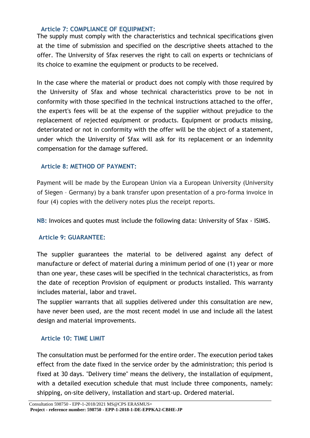#### **Article 7: COMPLIANCE OF EQUIPMENT:**

The supply must comply with the characteristics and technical specifications given at the time of submission and specified on the descriptive sheets attached to the offer. The University of Sfax reserves the right to call on experts or technicians of its choice to examine the equipment or products to be received.

In the case where the material or product does not comply with those required by the University of Sfax and whose technical characteristics prove to be not in conformity with those specified in the technical instructions attached to the offer, the expert's fees will be at the expense of the supplier without prejudice to the replacement of rejected equipment or products. Equipment or products missing, deteriorated or not in conformity with the offer will be the object of a statement, under which the University of Sfax will ask for its replacement or an indemnity compensation for the damage suffered.

### **Article 8: METHOD OF PAYMENT:**

Payment will be made by the European Union via a European University (University of Siegen – Germany) by a bank transfer upon presentation of a pro‐forma invoice in four (4) copies with the delivery notes plus the receipt reports.

**NB:** Invoices and quotes must include the following data: University of Sfax - ISIMS.

### **Article 9: GUARANTEE:**

The supplier guarantees the material to be delivered against any defect of manufacture or defect of material during a minimum period of one (1) year or more than one year, these cases will be specified in the technical characteristics, as from the date of reception Provision of equipment or products installed. This warranty includes material, labor and travel.

The supplier warrants that all supplies delivered under this consultation are new, have never been used, are the most recent model in use and include all the latest design and material improvements.

### **Article 10: TIME LIMIT**

The consultation must be performed for the entire order. The execution period takes effect from the date fixed in the service order by the administration; this period is fixed at 30 days. "Delivery time" means the delivery, the installation of equipment, with a detailed execution schedule that must include three components, namely: shipping, on‐site delivery, installation and start‐up. Ordered material.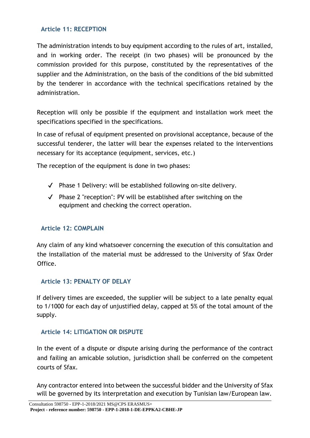### **Article 11: RECEPTION**

The administration intends to buy equipment according to the rules of art, installed, and in working order. The receipt (in two phases) will be pronounced by the commission provided for this purpose, constituted by the representatives of the supplier and the Administration, on the basis of the conditions of the bid submitted by the tenderer in accordance with the technical specifications retained by the administration.

Reception will only be possible if the equipment and installation work meet the specifications specified in the specifications.

In case of refusal of equipment presented on provisional acceptance, because of the successful tenderer, the latter will bear the expenses related to the interventions necessary for its acceptance (equipment, services, etc.)

The reception of the equipment is done in two phases:

- ✔ Phase 1 Delivery: will be established following on‐site delivery.
- ✔ Phase 2 "reception": PV will be established after switching on the equipment and checking the correct operation.

### **Article 12: COMPLAIN**

Any claim of any kind whatsoever concerning the execution of this consultation and the installation of the material must be addressed to the University of Sfax Order Office.

### **Article 13: PENALTY OF DELAY**

If delivery times are exceeded, the supplier will be subject to a late penalty equal to 1/1000 for each day of unjustified delay, capped at 5% of the total amount of the supply.

### **Article 14: LITIGATION OR DISPUTE**

In the event of a dispute or dispute arising during the performance of the contract and failing an amicable solution, jurisdiction shall be conferred on the competent courts of Sfax.

Any contractor entered into between the successful bidder and the University of Sfax will be governed by its interpretation and execution by Tunisian law/European law.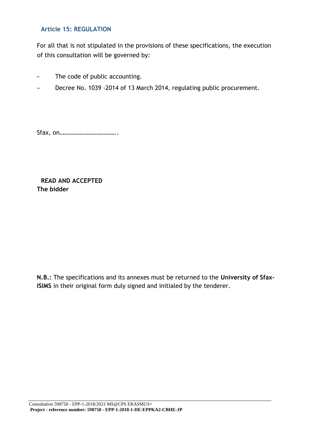### **Article 15: REGULATION**

For all that is not stipulated in the provisions of these specifications, the execution of this consultation will be governed by:

- − The code of public accounting.
- Decree No. 1039 2014 of 13 March 2014, regulating public procurement.

Sfax, on………………………………..

**READ AND ACCEPTED The bidder**

**N.B.:** The specifications and its annexes must be returned to the **University of Sfax-ISIMS** in their original form duly signed and initialed by the tenderer.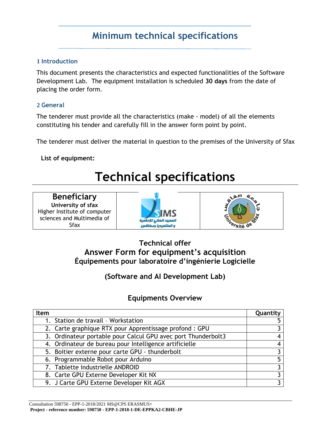### **Minimum technical specifications**

### **1 Introduction**

This document presents the characteristics and expected functionalities of the Software Development Lab. The equipment installation is scheduled **30 days** from the date of placing the order form.

### **2 General**

The tenderer must provide all the characteristics (make - model) of all the elements constituting his tender and carefully fill in the answer form point by point.

The tenderer must deliver the material in question to the premises of the University of Sfax

### **List of equipment:**

### **Technical specifications**

| <b>Beneficiary</b>           |  |  |  |
|------------------------------|--|--|--|
| University of sfax           |  |  |  |
| Higher Institute of computer |  |  |  |
| sciences and Multimedia of   |  |  |  |
| Sfax                         |  |  |  |





### **Technical offer Answer Form for equipment's acquisition Équipements pour laboratoire d'ingénierie Logicielle**

**(Software and AI Development Lab)**

### **Equipments Overview**

| <b>Item</b>                                                   | Quantity |
|---------------------------------------------------------------|----------|
| 1. Station de travail - Workstation                           |          |
| 2. Carte graphique RTX pour Apprentissage profond : GPU       |          |
| 3. Ordinateur portable pour Calcul GPU avec port Thunderbolt3 | 4        |
| 4. Ordinateur de bureau pour Intelligence artificielle        | 4        |
| 5. Boitier externe pour carte GPU - thunderbolt               |          |
| 6. Programmable Robot pour Arduino                            | 5        |
| 7. Tablette industrielle ANDROID                              |          |
| 8. Carte GPU Externe Developer Kit NX                         |          |
| 9. J Carte GPU Externe Developer Kit AGX                      |          |

Consultation 598750 - EPP-1-2018/2021 MS@CPS ERASMUS+ **Project - reference number: 598750 - EPP-1-2018-1-DE-EPPKA2-CBHE-JP**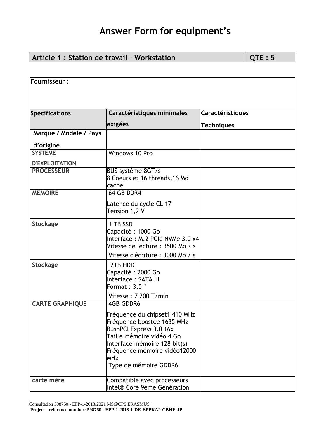### **Article 1 : Station de travail - Workstation**  $\boxed{QTE:5}$

| Fournisseur:           |                                                                                                                                                                                                                                   |                         |
|------------------------|-----------------------------------------------------------------------------------------------------------------------------------------------------------------------------------------------------------------------------------|-------------------------|
|                        |                                                                                                                                                                                                                                   |                         |
|                        |                                                                                                                                                                                                                                   |                         |
| Spécifications         | Caractéristiques minimales                                                                                                                                                                                                        | <b>Caractéristiques</b> |
|                        | exigées                                                                                                                                                                                                                           | <b>Techniques</b>       |
| Marque / Modèle / Pays |                                                                                                                                                                                                                                   |                         |
| d'origine              |                                                                                                                                                                                                                                   |                         |
| <b>SYSTEME</b>         | Windows 10 Pro                                                                                                                                                                                                                    |                         |
| <b>D'EXPLOITATION</b>  |                                                                                                                                                                                                                                   |                         |
| <b>PROCESSEUR</b>      | BUS système 8GT/s<br>8 Coeurs et 16 threads, 16 Mo<br>cache                                                                                                                                                                       |                         |
| <b>MEMOIRE</b>         | 64 GB DDR4                                                                                                                                                                                                                        |                         |
|                        | Latence du cycle CL 17<br>Tension 1,2 V                                                                                                                                                                                           |                         |
| <b>Stockage</b>        | 1 TB SSD<br>Capacité: 1000 Go<br>Interface: M.2 PCIe NVMe 3.0 x4<br>Vitesse de lecture : 3500 Mo / s<br>Vitesse d'écriture : 3000 Mo / s                                                                                          |                         |
| <b>Stockage</b>        | 2TB HDD<br>Capacité: 2000 Go<br>Interface: SATA III<br>Format: 3,5"<br>Vitesse: 7 200 T/min                                                                                                                                       |                         |
| <b>CARTE GRAPHIQUE</b> | <b>4GB GDDR6</b>                                                                                                                                                                                                                  |                         |
|                        | Fréquence du chipset1 410 MHz<br>Fréquence boostée 1635 MHz<br><b>BusnPCI Express 3.0 16x</b><br>Taille mémoire vidéo 4 Go<br>Interface mémoire 128 bit(s)<br>Fréquence mémoire vidéo12000<br><b>MHz</b><br>Type de mémoire GDDR6 |                         |
| carte mère             | Compatible avec processeurs<br>Intel® Core 9ème Génération                                                                                                                                                                        |                         |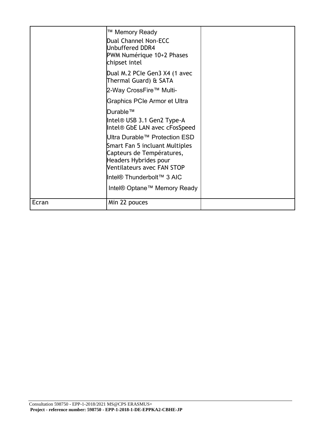|              | ™ Memory Ready<br>Dual Channel Non-ECC<br>Unbuffered DDR4<br>PWM Numérique 10+2 Phases<br>chipset intel<br>Dual M.2 PCIe Gen3 X4 (1 avec<br>Thermal Guard) & SATA<br>2-Way CrossFire™ Multi- |  |
|--------------|----------------------------------------------------------------------------------------------------------------------------------------------------------------------------------------------|--|
|              | <b>Graphics PCIe Armor et Ultra</b><br>Durable™                                                                                                                                              |  |
|              | Intel® USB 3.1 Gen2 Type-A<br>Intel <sup>®</sup> GbE LAN avec cFosSpeed                                                                                                                      |  |
|              | Ultra Durable™ Protection ESD                                                                                                                                                                |  |
|              | Smart Fan 5 incluant Multiples<br>Capteurs de Températures,<br>Headers Hybrides pour<br>Ventilateurs avec FAN STOP                                                                           |  |
|              | Intel® Thunderbolt™ 3 AIC                                                                                                                                                                    |  |
|              | Intel <sup>®</sup> Optane™ Memory Ready                                                                                                                                                      |  |
| <b>Ecran</b> | Min 22 pouces                                                                                                                                                                                |  |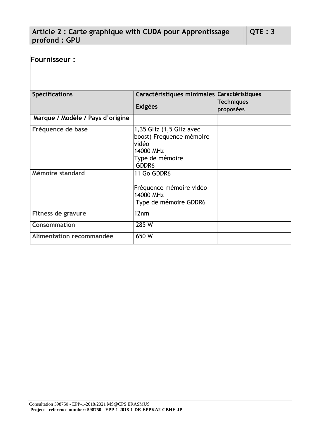### **Article 2 : Carte graphique with CUDA pour Apprentissage profond : GPU**

| Fournisseur:                     |                                                                                                      |                                |
|----------------------------------|------------------------------------------------------------------------------------------------------|--------------------------------|
| <b>Spécifications</b>            | Caractéristiques minimales Caractéristiques<br><b>Exigées</b>                                        | <b>Techniques</b><br>proposées |
| Marque / Modèle / Pays d'origine |                                                                                                      |                                |
| Fréquence de base                | 1,35 GHz (1,5 GHz avec<br>boost) Fréquence mémoire<br>vidéo<br>14000 MHz<br>Type de mémoire<br>GDDR6 |                                |
| Mémoire standard                 | 11 Go GDDR6<br>Fréquence mémoire vidéo<br>14000 MHz<br>Type de mémoire GDDR6                         |                                |
| <b>Fitness de gravure</b>        | 12nm                                                                                                 |                                |
| <b>Consommation</b>              | 285 W                                                                                                |                                |
| Alimentation recommandée         | 650 W                                                                                                |                                |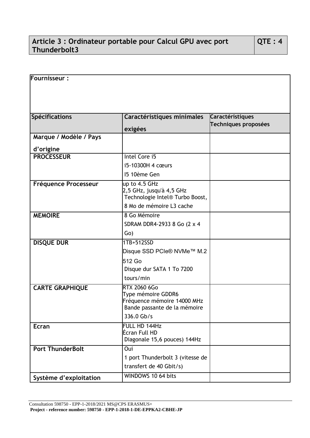### **Article 3 : Ordinateur portable pour Calcul GPU avec port Thunderbolt3**

| Fournisseur:                |                                               |                         |
|-----------------------------|-----------------------------------------------|-------------------------|
|                             |                                               |                         |
|                             |                                               |                         |
|                             |                                               |                         |
|                             |                                               |                         |
| <b>Spécifications</b>       | Caractéristiques minimales                    | <b>Caractéristiques</b> |
|                             |                                               | Techniques proposées    |
| Marque / Modèle / Pays      | exigées                                       |                         |
|                             |                                               |                         |
| d'origine                   |                                               |                         |
| <b>PROCESSEUR</b>           | Intel Core i5                                 |                         |
|                             | i5-10300H 4 cœurs                             |                         |
|                             | 15 10ème Gen                                  |                         |
| <b>Fréquence Processeur</b> | up to 4.5 GHz                                 |                         |
|                             | 2,5 GHz, jusqu'à 4,5 GHz                      |                         |
|                             | Technologie Intel® Turbo Boost,               |                         |
|                             | 8 Mo de mémoire L3 cache                      |                         |
| <b>MEMOIRE</b>              | 8 Go Mémoire                                  |                         |
|                             | SDRAM DDR4-2933 8 Go (2 x 4)                  |                         |
|                             | Go)                                           |                         |
| <b>DISQUE DUR</b>           | 1TB+512SSD                                    |                         |
|                             | Disque SSD PCIe® NVMe™ M.2                    |                         |
|                             | 512 Go                                        |                         |
|                             | Disque dur SATA 1 To 7200                     |                         |
|                             | tours/min                                     |                         |
| <b>CARTE GRAPHIQUE</b>      | RTX 2060 6Go                                  |                         |
|                             | Type mémoire GDDR6                            |                         |
|                             | Fréquence mémoire 14000 MHz                   |                         |
|                             | Bande passante de la mémoire                  |                         |
|                             | 336.0 Gb/s                                    |                         |
| <b>Ecran</b>                | FULL HD 144Hz                                 |                         |
|                             | Écran Full HD<br>Diagonale 15,6 pouces) 144Hz |                         |
|                             |                                               |                         |
| <b>Port ThunderBolt</b>     | Oui                                           |                         |
|                             | 1 port Thunderbolt 3 (vitesse de              |                         |
|                             | transfert de 40 Gbit/s)                       |                         |
| Système d'exploitation      | WINDOWS 10 64 bits                            |                         |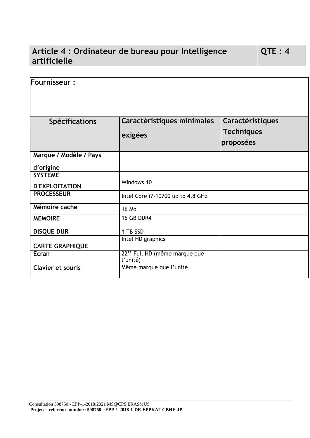### **Article 4 : Ordinateur de bureau pour Intelligence artificielle**

| Fournisseur:             |                                          |                                |
|--------------------------|------------------------------------------|--------------------------------|
|                          |                                          |                                |
|                          |                                          |                                |
| <b>Spécifications</b>    | Caractéristiques minimales               | Caractéristiques               |
|                          | exigées                                  | <b>Techniques</b><br>proposées |
| Marque / Modèle / Pays   |                                          |                                |
| d'origine                |                                          |                                |
| <b>SYSTEME</b>           |                                          |                                |
| <b>D'EXPLOITATION</b>    | Windows 10                               |                                |
| <b>PROCESSEUR</b>        | Intel Core i7-10700 up to 4.8 GHz        |                                |
| Mémoire cache            | <b>16 Mo</b>                             |                                |
| <b>MEMOIRE</b>           | <b>16 GB DDR4</b>                        |                                |
| <b>DISQUE DUR</b>        | 1 TB SSD                                 |                                |
| <b>CARTE GRAPHIQUE</b>   | Intel HD graphics                        |                                |
| Ecran                    | 22" Full HD (même marque que<br>l'unité) |                                |
| <b>Clavier et souris</b> | Même marque que l'unité                  |                                |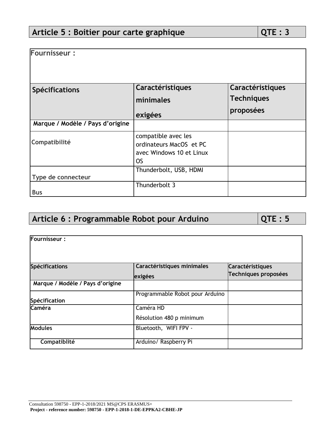| Fournisseur:                     |                                                                                         |                   |
|----------------------------------|-----------------------------------------------------------------------------------------|-------------------|
|                                  |                                                                                         |                   |
|                                  |                                                                                         |                   |
| <b>Spécifications</b>            | Caractéristiques                                                                        | Caractéristiques  |
|                                  | minimales                                                                               | <b>Techniques</b> |
|                                  | exigées                                                                                 | proposées         |
| Marque / Modèle / Pays d'origine |                                                                                         |                   |
| Compatibilité                    | compatible avec les<br>ordinateurs MacOS et PC<br>avec Windows 10 et Linux<br><b>OS</b> |                   |
| Type de connecteur               | Thunderbolt, USB, HDMI                                                                  |                   |
| <b>Bus</b>                       | Thunderbolt 3                                                                           |                   |

### Article 6 : Programmable Robot pour Arduino  $\sqrt{QTE}$  : 5

**Fournisseur : Spécifications Caractéristiques minimales exigées Caractéristiques Techniques proposées Marque / Modèle / Pays d'origine Spécification** Programmable Robot pour Arduino **Caméra Caméra Caméra** HD Résolution 480 p minimum **Modules Bluetooth, WIFI FPV -Compatiblité Arduino/ Raspberry Pi**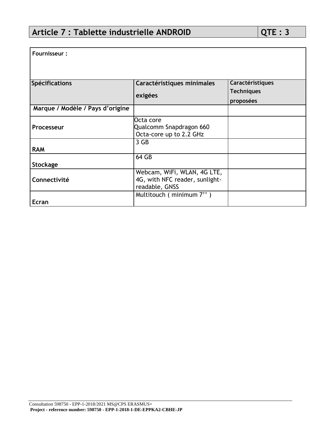**Fournisseur :**

| <b>Spécifications</b>            | Caractéristiques minimales                                                      | Caractéristiques  |
|----------------------------------|---------------------------------------------------------------------------------|-------------------|
|                                  | exigées                                                                         | <b>Techniques</b> |
|                                  |                                                                                 | proposées         |
| Marque / Modèle / Pays d'origine |                                                                                 |                   |
| Processeur                       | Octa core<br>Qualcomm Snapdragon 660<br>Octa-core up to 2.2 GHz                 |                   |
| <b>RAM</b>                       | 3 GB                                                                            |                   |
| Stockage                         | 64 GB                                                                           |                   |
| Connectivité                     | Webcam, WiFi, WLAN, 4G LTE,<br>4G, with NFC reader, sunlight-<br>readable, GNSS |                   |
| <b>Ecran</b>                     | Multitouch (minimum 7")                                                         |                   |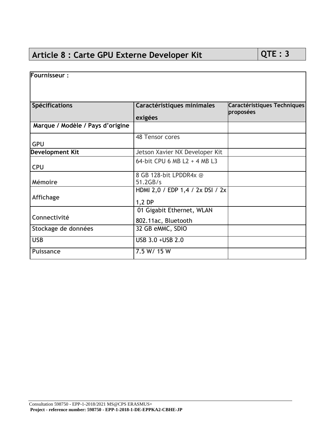### Article 8 : Carte GPU Externe Developer Kit QTE : 3

| <b>Fournisseur:</b>              |                                  |                                          |
|----------------------------------|----------------------------------|------------------------------------------|
|                                  |                                  |                                          |
|                                  |                                  |                                          |
| <b>Spécifications</b>            | Caractéristiques minimales       | Caractéristiques Techniques<br>proposées |
|                                  | exigées                          |                                          |
| Marque / Modèle / Pays d'origine |                                  |                                          |
|                                  | 48 Tensor cores                  |                                          |
| <b>GPU</b>                       |                                  |                                          |
| <b>Development Kit</b>           | Jetson Xavier NX Developer Kit   |                                          |
|                                  | 64-bit CPU 6 MB L2 + 4 MB L3     |                                          |
| <b>CPU</b>                       |                                  |                                          |
|                                  | 8 GB 128-bit LPDDR4x @           |                                          |
| <b>Mémoire</b>                   | 51.2GB/s                         |                                          |
|                                  | HDMI 2,0 / EDP 1,4 / 2x DSI / 2x |                                          |
| <b>Affichage</b>                 | 1,2 DP                           |                                          |
|                                  | 01 Gigabit Ethernet, WLAN        |                                          |
| Connectivité                     | 802.11ac, Bluetooth              |                                          |
| Stockage de données              | 32 GB eMMC, SDIO                 |                                          |
| <b>USB</b>                       | USB 3.0 + USB 2.0                |                                          |
| <b>Puissance</b>                 | 7.5 W/ 15 W                      |                                          |
|                                  |                                  |                                          |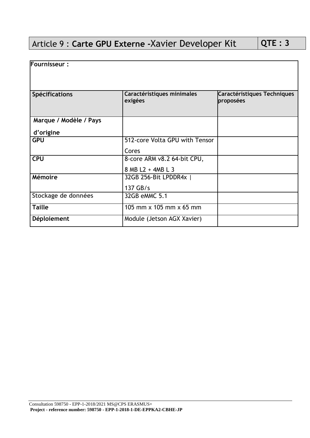### Article 9 : **Carte GPU Externe -**Xavier Developer Kit **QTE : 3**

| <b>Fournisseur:</b>    |                                       |                                          |
|------------------------|---------------------------------------|------------------------------------------|
| Spécifications         | Caractéristiques minimales<br>exigées | Caractéristiques Techniques<br>proposées |
| Marque / Modèle / Pays |                                       |                                          |
| d'origine              |                                       |                                          |
| <b>GPU</b>             | 512-core Volta GPU with Tensor        |                                          |
|                        | Cores                                 |                                          |
| <b>CPU</b>             | 8-core ARM v8.2 64-bit CPU,           |                                          |
|                        | 8 MB L2 + 4MB L 3                     |                                          |
| <b>Mémoire</b>         | 32GB 256-Bit LPDDR4x                  |                                          |
|                        | 137 GB/s                              |                                          |
| Stockage de données    | 32GB eMMC 5.1                         |                                          |
| <b>Taille</b>          | 105 mm x 105 mm x 65 mm               |                                          |
| Déploiement            | Module (Jetson AGX Xavier)            |                                          |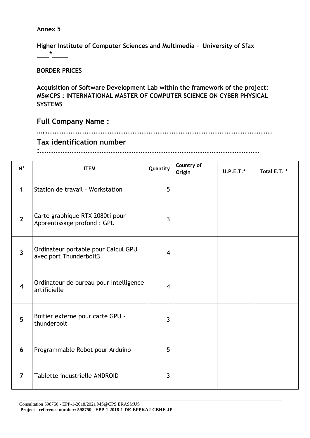**Higher Institute of Computer Sciences and Multimedia - University of Sfax \***

#### **BORDER PRICES**

**Acquisition of Software Development Lab within the framework of the project: MS@CPS : INTERNATIONAL MASTER OF COMPUTER SCIENCE ON CYBER PHYSICAL SYSTEMS**

**Full Company Name :** 

#### **…....................................................................................................**

### **Tax identification number**

**:................................................................................................**

| $N^{\circ}$             | <b>ITEM</b>                                                   | Quantity       | Country of<br>Origin | $U.P.E.T.*$ | Total E.T.* |
|-------------------------|---------------------------------------------------------------|----------------|----------------------|-------------|-------------|
| 1                       | Station de travail - Workstation                              | 5              |                      |             |             |
| $\overline{2}$          | Carte graphique RTX 2080ti pour<br>Apprentissage profond: GPU | $\overline{3}$ |                      |             |             |
| $\overline{3}$          | Ordinateur portable pour Calcul GPU<br>avec port Thunderbolt3 | $\overline{4}$ |                      |             |             |
| $\overline{\mathbf{4}}$ | Ordinateur de bureau pour Intelligence<br>artificielle        | $\overline{4}$ |                      |             |             |
| 5                       | Boitier externe pour carte GPU -<br>thunderbolt               | $\overline{3}$ |                      |             |             |
| 6                       | Programmable Robot pour Arduino                               | 5              |                      |             |             |
| $\overline{7}$          | Tablette industrielle ANDROID                                 | $\overline{3}$ |                      |             |             |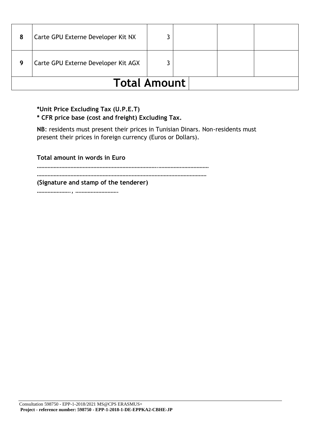| 8                   | Carte GPU Externe Developer Kit NX  |  |  |  |  |
|---------------------|-------------------------------------|--|--|--|--|
| g                   | Carte GPU Externe Developer Kit AGX |  |  |  |  |
| <b>Total Amount</b> |                                     |  |  |  |  |

### **\*Unit Price Excluding Tax (U.P.E.T)**

### **\* CFR price base (cost and freight) Excluding Tax.**

**NB**: residents must present their prices in Tunisian Dinars. Non-residents must present their prices in foreign currency (Euros or Dollars).

**Total amount in words in Euro**

…………………………………………………………………….……………………………

…………………………………………………………………………………………………

**(Signature and stamp of the tenderer)**

…………………., ……………………….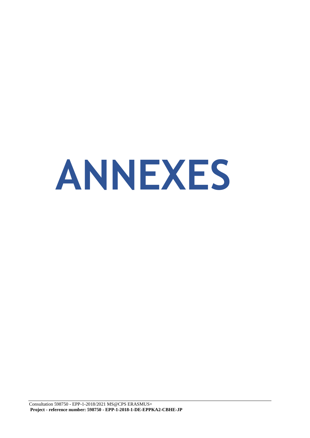# **ANNEXES**

Consultation 598750 - EPP-1-2018/2021 MS@CPS ERASMUS+ **Project - reference number: 598750 - EPP-1-2018-1-DE-EPPKA2-CBHE-JP**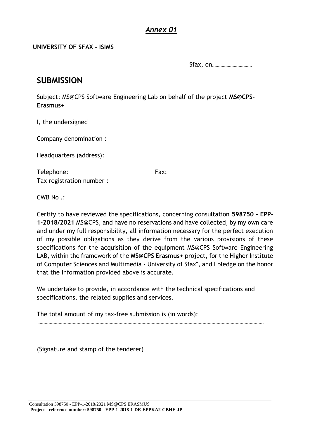### **UNIVERSITY OF SFAX - ISIMS**

Sfax, on……………………………

### **SUBMISSION**

Subject: MS@CPS Software Engineering Lab on behalf of the project **MS@CPS‐ Erasmus+**

I, the undersigned

Company denomination :

Headquarters (address):

Telephone: Fax: Tax registration number :

CWB No .:

Certify to have reviewed the specifications, concerning consultation **598750 - EPP-1-2018/2021** MS@CPS, and have no reservations and have collected, by my own care and under my full responsibility, all information necessary for the perfect execution of my possible obligations as they derive from the various provisions of these specifications for the acquisition of the equipment MS@CPS Software Engineering LAB, within the framework of the **MS@CPS Erasmus+** project, for the Higher Institute of Computer Sciences and Multimedia - University of Sfax", and I pledge on the honor that the information provided above is accurate.

We undertake to provide, in accordance with the technical specifications and specifications, the related supplies and services.

The total amount of my tax‐free submission is (in words):

……………………………………………………………………………………………………………………………………………………………

(Signature and stamp of the tenderer)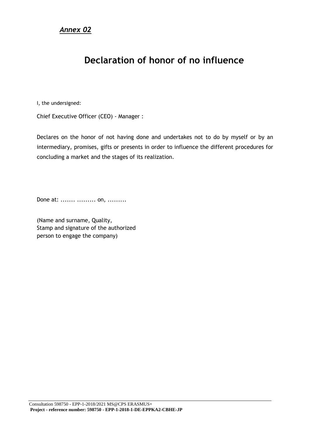### **Declaration of honor of no influence**

I, the undersigned:

Chief Executive Officer (CEO) ‐ Manager :

Declares on the honor of not having done and undertakes not to do by myself or by an intermediary, promises, gifts or presents in order to influence the different procedures for concluding a market and the stages of its realization.

Done at: ....... ......... on, .........

(Name and surname, Quality, Stamp and signature of the authorized person to engage the company)